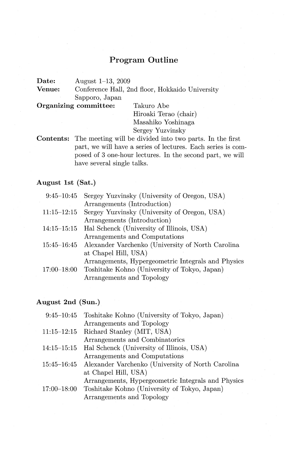#### **Program Outline**

**Date:** August 1-13, 2009<br>**Venue:** Conference Hall 2:

Conference Hall, 2nd floor, Hokkaido University Sapporo, Japan

**Organizing committee:** Takuro Abe

Hiroaki Terao (chair) Masahiko Yoshinaga Bergey Yuzvinsky

**Contents:** The meeting will be divided into two parts. In the first part, we will have a series of lectures. Each series is composed of 3 one-hour lectures. In the second part, we will have several single talks.

#### **August 1st (Sat.)**

| Sergey Yuzvinsky (University of Oregon, USA)                  |
|---------------------------------------------------------------|
| Arrangements (Introduction)                                   |
| Sergey Yuzvinsky (University of Oregon, USA)                  |
| Arrangements (Introduction)                                   |
| Hal Schenck (University of Illinois, USA)                     |
| Arrangements and Computations                                 |
| 15:45-16:45 Alexander Varchenko (University of North Carolina |
| at Chapel Hill, USA)                                          |
| Arrangements, Hypergeometric Integrals and Physics            |
| Toshitake Kohno (University of Tokyo, Japan)                  |
| Arrangements and Topology                                     |
|                                                               |

#### **August 2nd (Sun.)**

|                 | 9:45-10:45 Toshitake Kohno (University of Tokyo, Japan)       |
|-----------------|---------------------------------------------------------------|
|                 | Arrangements and Topology                                     |
| $11:15 - 12:15$ | Richard Stanley (MIT, USA)                                    |
|                 | Arrangements and Combinatorics                                |
| $14:15 - 15:15$ | Hal Schenck (University of Illinois, USA)                     |
|                 | Arrangements and Computations                                 |
|                 | 15:45–16:45 Alexander Varchenko (University of North Carolina |
|                 | at Chapel Hill, USA)                                          |
|                 | Arrangements, Hypergeometric Integrals and Physics            |
| $17:00 - 18:00$ | Toshitake Kohno (University of Tokyo, Japan)                  |
|                 | Arrangements and Topology                                     |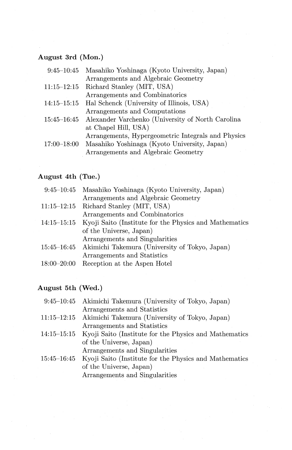# **August 3rd (Mon.)**

| $9:45 - 10:45$        | Masahiko Yoshinaga (Kyoto University, Japan)       |
|-----------------------|----------------------------------------------------|
|                       | Arrangements and Algebraic Geometry                |
| 11:15–12:15           | Richard Stanley (MIT, USA)                         |
|                       | Arrangements and Combinatorics                     |
| $14:15\hbox{--}15:15$ | Hal Schenck (University of Illinois, USA)          |
|                       | Arrangements and Computations                      |
| 15:45–16:45           | Alexander Varchenko (University of North Carolina  |
|                       | at Chapel Hill, USA)                               |
|                       | Arrangements, Hypergeometric Integrals and Physics |
| 17:00–18:00           | Masahiko Yoshinaga (Kyoto University, Japan)       |
|                       | Arrangements and Algebraic Geometry                |
|                       |                                                    |

#### **August 4th** (Tue.)

|                 | 9:45–10:45 Masahiko Yoshinaga (Kyoto University, Japan)            |
|-----------------|--------------------------------------------------------------------|
|                 | Arrangements and Algebraic Geometry                                |
| $11:15 - 12:15$ | Richard Stanley (MIT, USA)                                         |
|                 | Arrangements and Combinatorics                                     |
|                 | 14:15–15:15 Kyoji Saito (Institute for the Physics and Mathematics |
|                 | of the Universe, Japan)                                            |
|                 | Arrangements and Singularities                                     |
|                 | 15:45-16:45 Akimichi Takemura (University of Tokyo, Japan)         |
|                 | Arrangements and Statistics                                        |
| $18:00 - 20:00$ | Reception at the Aspen Hotel                                       |
|                 |                                                                    |

## **August 5th (Wed.)**

|                 | 9:45–10:45 Akimichi Takemura (University of Tokyo, Japan) |
|-----------------|-----------------------------------------------------------|
|                 | Arrangements and Statistics                               |
| $11:15 - 12:15$ | Akimichi Takemura (University of Tokyo, Japan)            |
|                 | Arrangements and Statistics                               |
| $14:15 - 15:15$ | Kyoji Saito (Institute for the Physics and Mathematics    |
|                 | of the Universe, Japan)                                   |
|                 | Arrangements and Singularities                            |
| $15:45 - 16:45$ | Kyoji Saito (Institute for the Physics and Mathematics    |
|                 | of the Universe, Japan)                                   |
|                 |                                                           |

Arrangements and Singularities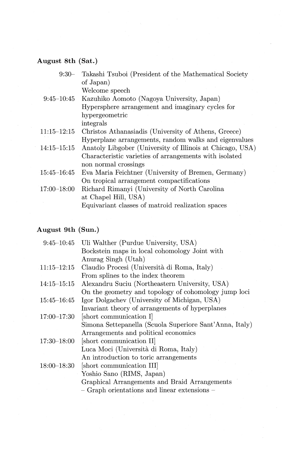# August 8th (Sat.)

| $9:30-$               | Takashi Tsuboi (President of the Mathematical Society     |
|-----------------------|-----------------------------------------------------------|
|                       | of Japan)                                                 |
|                       | Welcome speech                                            |
| $9:45 - 10:45$        | Kazuhiko Aomoto (Nagoya University, Japan)                |
|                       | Hypersphere arrangement and imaginary cycles for          |
|                       | hypergeometric                                            |
|                       | integrals                                                 |
| 11:15–12:15           | Christos Athanasiadis (University of Athens, Greece)      |
|                       | Hyperplane arrangements, random walks and eigenvalues     |
| $14:15 - 15:15$       | Anatoly Libgober (University of Illinois at Chicago, USA) |
|                       | Characteristic varieties of arrangements with isolated    |
|                       | non normal crossings                                      |
| $15:45\hbox{--}16:45$ | Eva Maria Feichtner (University of Bremen, Germany)       |
|                       | On tropical arrangement compactifications                 |
| 17:00-18:00           | Richard Rimanyi (University of North Carolina             |
|                       | at Chapel Hill, USA)                                      |
|                       | Equivariant classes of matroid realization spaces         |

## August 9th (Sun.)

|                 | 9:45-10:45 Uli Walther (Purdue University, USA)         |
|-----------------|---------------------------------------------------------|
|                 | Bockstein maps in local cohomology Joint with           |
|                 | Anurag Singh (Utah)                                     |
| $11:15 - 12:15$ | Claudio Procesi (Università di Roma, Italy)             |
|                 | From splines to the index theorem                       |
| 14:15–15:15     | Alexandru Suciu (Northeastern University, USA)          |
|                 | On the geometry and topology of cohomology jump loci    |
| 15:45–16:45     | Igor Dolgachev (University of Michigan, USA)            |
|                 | Invariant theory of arrangements of hyperplanes         |
| $17:00 - 17:30$ | short communication I                                   |
|                 | Simona Settepanella (Scuola Superiore Sant'Anna, Italy) |
|                 | Arrangements and political economics                    |
| 17:30–18:00     | [short communication II]                                |
|                 | Luca Moci (Università di Roma, Italy)                   |
|                 | An introduction to toric arrangements                   |
| $18:00 - 18:30$ | [short communication III]                               |
|                 | Yoshio Sano (RIMS, Japan)                               |
|                 | Graphical Arrangements and Braid Arrangements           |
|                 | - Graph orientations and linear extensions -            |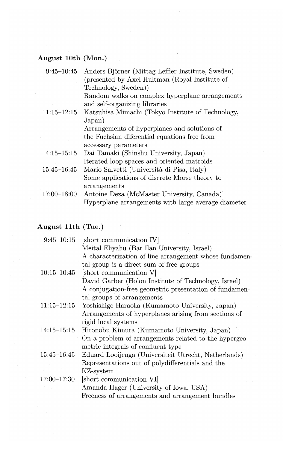## **August lOth (Mon.)**

| $9:45 - 10:45$ | Anders Björner (Mittag-Leffler Institute, Sweden)   |
|----------------|-----------------------------------------------------|
|                | (presented by Axel Hultman (Royal Institute of      |
|                | Technology, Sweden))                                |
|                | Random walks on complex hyperplane arrangements     |
|                | and self-organizing libraries                       |
| 11:15–12:15    | Katsuhisa Mimachi (Tokyo Institute of Technology,   |
|                | Japan)                                              |
|                | Arrangements of hyperplanes and solutions of        |
|                | the Fuchsian diferential equations free from        |
|                | accessary parameters                                |
| 14:15–15:15    | Dai Tamaki (Shinshu University, Japan)              |
|                | Iterated loop spaces and oriented matroids          |
| 15:45–16:45    | Mario Salvetti (Università di Pisa, Italy)          |
|                | Some applications of discrete Morse theory to       |
|                | arrangements                                        |
| 17:00–18:00    | Antoine Deza (McMaster University, Canada)          |
|                | Hyperplane arrangements with large average diameter |
|                |                                                     |

## **August 11th (Tue.)**

| $9:45 - 10:15$  | [short communication IV]                               |
|-----------------|--------------------------------------------------------|
|                 | Meital Eliyahu (Bar Ilan University, Israel)           |
|                 | A characterization of line arrangement whose fundamen- |
|                 | tal group is a direct sum of free groups               |
| $10:15 - 10:45$ | [short communication V]                                |
|                 | David Garber (Holon Institute of Technology, Israel)   |
|                 | A conjugation-free geometric presentation of fundamen- |
|                 | tal groups of arrangements                             |
| $11:15 - 12:15$ | Yoshishige Haraoka (Kumamoto University, Japan)        |
|                 | Arrangements of hyperplanes arising from sections of   |
|                 | rigid local systems                                    |
| $14:15 - 15:15$ | Hironobu Kimura (Kumamoto University, Japan)           |
|                 | On a problem of arrangements related to the hypergeo-  |
|                 | metric integrals of confluent type                     |
| $15:45 - 16:45$ | Eduard Looijenga (Universiteit Utrecht, Netherlands)   |
|                 | Representations out of polydifferentials and the       |
|                 | KZ-system                                              |
| 17:00–17:30     | short communication VI                                 |
|                 | Amanda Hager (University of Iowa, USA)                 |
|                 | Freeness of arrangements and arrangement bundles       |